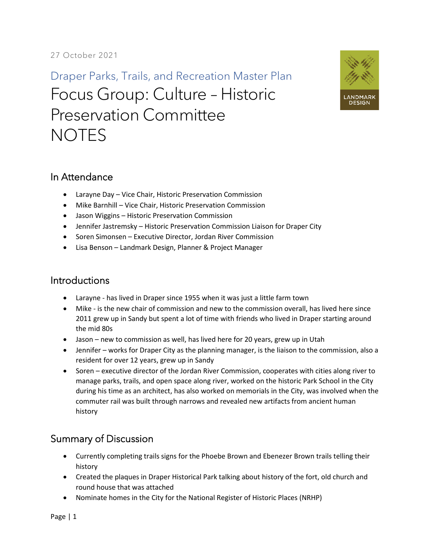Draper Parks, Trails, and Recreation Master Plan Focus Group: Culture – Historic Preservation Committee **NOTES** 



## In Attendance

- Larayne Day Vice Chair, Historic Preservation Commission
- Mike Barnhill Vice Chair, Historic Preservation Commission
- Jason Wiggins Historic Preservation Commission
- Jennifer Jastremsky Historic Preservation Commission Liaison for Draper City
- Soren Simonsen Executive Director, Jordan River Commission
- Lisa Benson Landmark Design, Planner & Project Manager

## **Introductions**

- Larayne has lived in Draper since 1955 when it was just a little farm town
- Mike is the new chair of commission and new to the commission overall, has lived here since 2011 grew up in Sandy but spent a lot of time with friends who lived in Draper starting around the mid 80s
- Jason new to commission as well, has lived here for 20 years, grew up in Utah
- Jennifer works for Draper City as the planning manager, is the liaison to the commission, also a resident for over 12 years, grew up in Sandy
- Soren executive director of the Jordan River Commission, cooperates with cities along river to manage parks, trails, and open space along river, worked on the historic Park School in the City during his time as an architect, has also worked on memorials in the City, was involved when the commuter rail was built through narrows and revealed new artifacts from ancient human history

## Summary of Discussion

- Currently completing trails signs for the Phoebe Brown and Ebenezer Brown trails telling their history
- Created the plaques in Draper Historical Park talking about history of the fort, old church and round house that was attached
- Nominate homes in the City for the National Register of Historic Places (NRHP)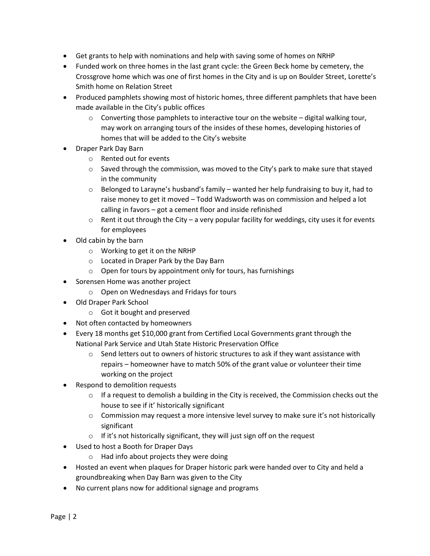- Get grants to help with nominations and help with saving some of homes on NRHP
- Funded work on three homes in the last grant cycle: the Green Beck home by cemetery, the Crossgrove home which was one of first homes in the City and is up on Boulder Street, Lorette's Smith home on Relation Street
- Produced pamphlets showing most of historic homes, three different pamphlets that have been made available in the City's public offices
	- $\circ$  Converting those pamphlets to interactive tour on the website digital walking tour, may work on arranging tours of the insides of these homes, developing histories of homes that will be added to the City's website
- Draper Park Day Barn
	- o Rented out for events
	- o Saved through the commission, was moved to the City's park to make sure that stayed in the community
	- $\circ$  Belonged to Larayne's husband's family wanted her help fundraising to buy it, had to raise money to get it moved – Todd Wadsworth was on commission and helped a lot calling in favors – got a cement floor and inside refinished
	- $\circ$  Rent it out through the City a very popular facility for weddings, city uses it for events for employees
- Old cabin by the barn
	- o Working to get it on the NRHP
	- o Located in Draper Park by the Day Barn
	- o Open for tours by appointment only for tours, has furnishings
- Sorensen Home was another project
	- o Open on Wednesdays and Fridays for tours
- Old Draper Park School
	- o Got it bought and preserved
- Not often contacted by homeowners
- Every 18 months get \$10,000 grant from Certified Local Governments grant through the National Park Service and Utah State Historic Preservation Office
	- $\circ$  Send letters out to owners of historic structures to ask if they want assistance with repairs – homeowner have to match 50% of the grant value or volunteer their time working on the project
- Respond to demolition requests
	- $\circ$  If a request to demolish a building in the City is received, the Commission checks out the house to see if it' historically significant
	- $\circ$  Commission may request a more intensive level survey to make sure it's not historically significant
	- $\circ$  If it's not historically significant, they will just sign off on the request
- Used to host a Booth for Draper Days
	- o Had info about projects they were doing
- Hosted an event when plaques for Draper historic park were handed over to City and held a groundbreaking when Day Barn was given to the City
- No current plans now for additional signage and programs